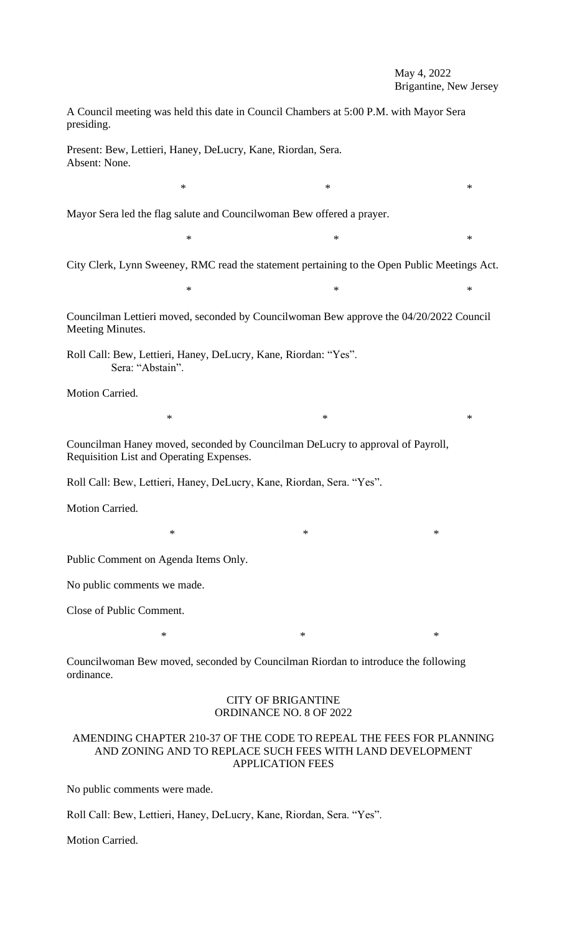# May 4, 2022 Brigantine, New Jersey

A Council meeting was held this date in Council Chambers at 5:00 P.M. with Mayor Sera presiding.

Present: Bew, Lettieri, Haney, DeLucry, Kane, Riordan, Sera. Absent: None.

Mayor Sera led the flag salute and Councilwoman Bew offered a prayer.

 $*$   $*$ 

 $*$  \*

City Clerk, Lynn Sweeney, RMC read the statement pertaining to the Open Public Meetings Act.

 $*$   $*$ 

 $*$   $*$ 

 $*$   $*$ 

Councilman Lettieri moved, seconded by Councilwoman Bew approve the 04/20/2022 Council Meeting Minutes.

Roll Call: Bew, Lettieri, Haney, DeLucry, Kane, Riordan: "Yes". Sera: "Abstain".

Motion Carried.

Councilman Haney moved, seconded by Councilman DeLucry to approval of Payroll, Requisition List and Operating Expenses.

Roll Call: Bew, Lettieri, Haney, DeLucry, Kane, Riordan, Sera. "Yes".

Motion Carried.

Public Comment on Agenda Items Only.

No public comments we made.

Close of Public Comment.

Councilwoman Bew moved, seconded by Councilman Riordan to introduce the following ordinance.

## CITY OF BRIGANTINE ORDINANCE NO. 8 OF 2022

 $*$  \*

# AMENDING CHAPTER 210-37 OF THE CODE TO REPEAL THE FEES FOR PLANNING AND ZONING AND TO REPLACE SUCH FEES WITH LAND DEVELOPMENT APPLICATION FEES

No public comments were made.

Roll Call: Bew, Lettieri, Haney, DeLucry, Kane, Riordan, Sera. "Yes".

Motion Carried.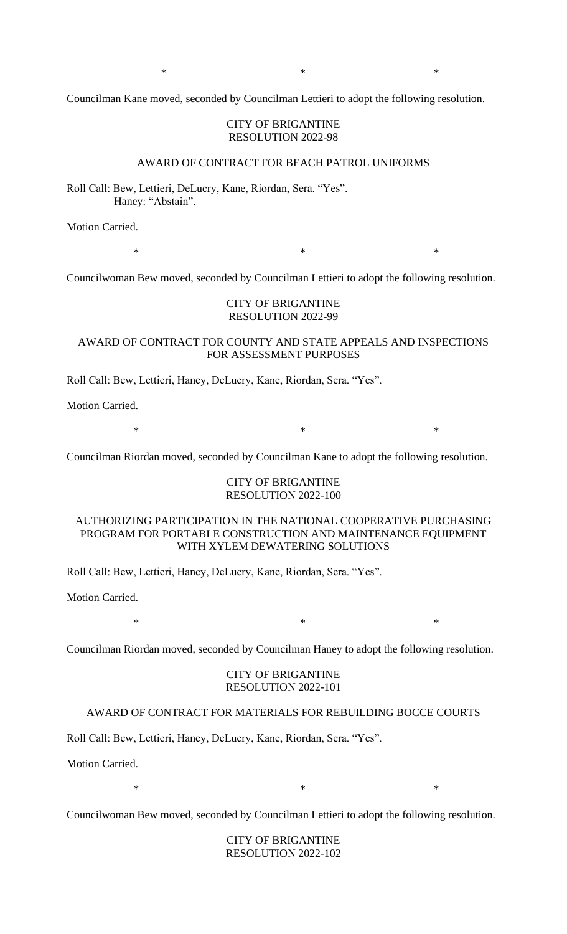$*$  \*

Councilman Kane moved, seconded by Councilman Lettieri to adopt the following resolution.

### CITY OF BRIGANTINE RESOLUTION 2022-98

### AWARD OF CONTRACT FOR BEACH PATROL UNIFORMS

Roll Call: Bew, Lettieri, DeLucry, Kane, Riordan, Sera. "Yes". Haney: "Abstain".

Motion Carried.

 $*$   $*$ 

Councilwoman Bew moved, seconded by Councilman Lettieri to adopt the following resolution.

## CITY OF BRIGANTINE RESOLUTION 2022-99

## AWARD OF CONTRACT FOR COUNTY AND STATE APPEALS AND INSPECTIONS FOR ASSESSMENT PURPOSES

Roll Call: Bew, Lettieri, Haney, DeLucry, Kane, Riordan, Sera. "Yes".

Motion Carried.

 $*$   $*$ 

Councilman Riordan moved, seconded by Councilman Kane to adopt the following resolution.

## CITY OF BRIGANTINE RESOLUTION 2022-100

# AUTHORIZING PARTICIPATION IN THE NATIONAL COOPERATIVE PURCHASING PROGRAM FOR PORTABLE CONSTRUCTION AND MAINTENANCE EQUIPMENT WITH XYLEM DEWATERING SOLUTIONS

Roll Call: Bew, Lettieri, Haney, DeLucry, Kane, Riordan, Sera. "Yes".

Motion Carried.

 $*$   $*$ 

Councilman Riordan moved, seconded by Councilman Haney to adopt the following resolution.

### CITY OF BRIGANTINE RESOLUTION 2022-101

## AWARD OF CONTRACT FOR MATERIALS FOR REBUILDING BOCCE COURTS

Roll Call: Bew, Lettieri, Haney, DeLucry, Kane, Riordan, Sera. "Yes".

Motion Carried.

 $*$   $*$ 

Councilwoman Bew moved, seconded by Councilman Lettieri to adopt the following resolution.

CITY OF BRIGANTINE RESOLUTION 2022-102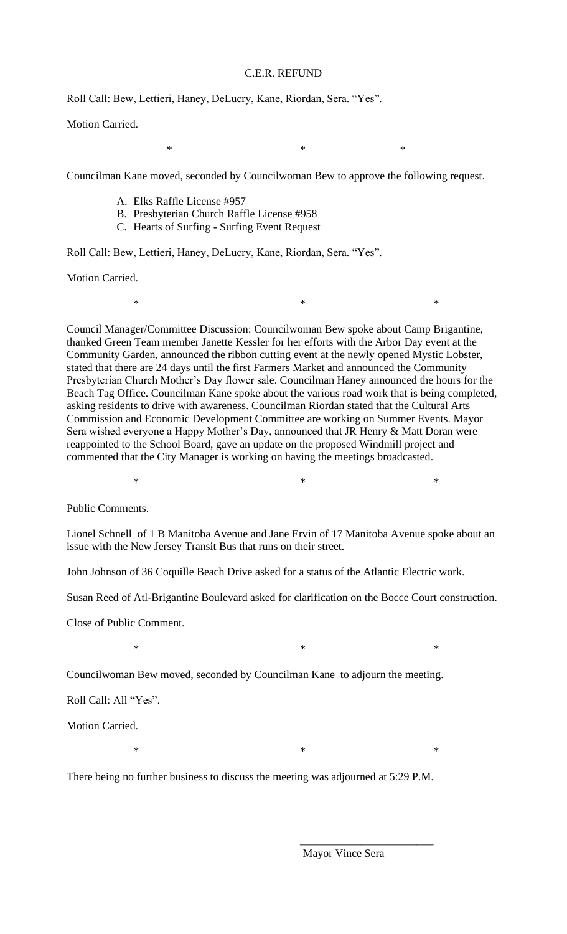# C.E.R. REFUND

 $*$   $*$ 

Roll Call: Bew, Lettieri, Haney, DeLucry, Kane, Riordan, Sera. "Yes".

Motion Carried.

Councilman Kane moved, seconded by Councilwoman Bew to approve the following request.

- A. Elks Raffle License #957
- B. Presbyterian Church Raffle License #958
- C. Hearts of Surfing Surfing Event Request

Roll Call: Bew, Lettieri, Haney, DeLucry, Kane, Riordan, Sera. "Yes".

Motion Carried.

Council Manager/Committee Discussion: Councilwoman Bew spoke about Camp Brigantine, thanked Green Team member Janette Kessler for her efforts with the Arbor Day event at the Community Garden, announced the ribbon cutting event at the newly opened Mystic Lobster, stated that there are 24 days until the first Farmers Market and announced the Community Presbyterian Church Mother's Day flower sale. Councilman Haney announced the hours for the Beach Tag Office. Councilman Kane spoke about the various road work that is being completed, asking residents to drive with awareness. Councilman Riordan stated that the Cultural Arts Commission and Economic Development Committee are working on Summer Events. Mayor Sera wished everyone a Happy Mother's Day, announced that JR Henry & Matt Doran were reappointed to the School Board, gave an update on the proposed Windmill project and commented that the City Manager is working on having the meetings broadcasted.

 $*$   $*$ 

Public Comments.

Lionel Schnell of 1 B Manitoba Avenue and Jane Ervin of 17 Manitoba Avenue spoke about an issue with the New Jersey Transit Bus that runs on their street.

 $*$   $*$ 

John Johnson of 36 Coquille Beach Drive asked for a status of the Atlantic Electric work.

Susan Reed of Atl-Brigantine Boulevard asked for clarification on the Bocce Court construction.

Close of Public Comment.

 $*$   $*$ 

Councilwoman Bew moved, seconded by Councilman Kane to adjourn the meeting.

Roll Call: All "Yes".

Motion Carried.

 $*$   $*$ 

There being no further business to discuss the meeting was adjourned at 5:29 P.M.

Mayor Vince Sera

\_\_\_\_\_\_\_\_\_\_\_\_\_\_\_\_\_\_\_\_\_\_\_\_